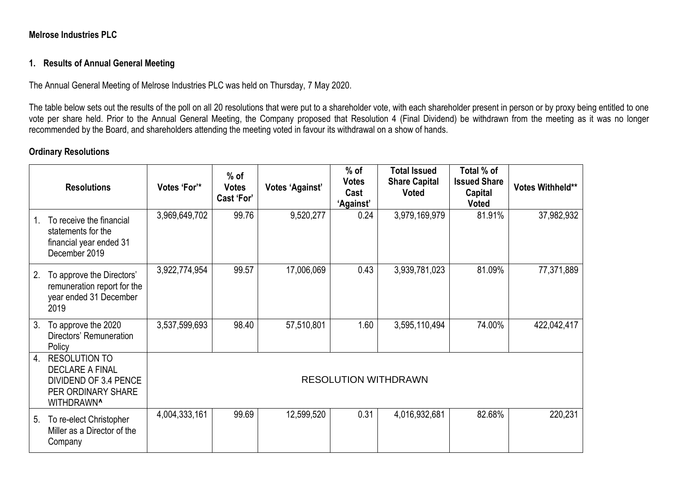## **Melrose Industries PLC**

## **1. Results of Annual General Meeting**

The Annual General Meeting of Melrose Industries PLC was held on Thursday, 7 May 2020.

The table below sets out the results of the poll on all 20 resolutions that were put to a shareholder vote, with each shareholder present in person or by proxy being entitled to one vote per share held. Prior to the Annual General Meeting, the Company proposed that Resolution 4 (Final Dividend) be withdrawn from the meeting as it was no longer recommended by the Board, and shareholders attending the meeting voted in favour its withdrawal on a show of hands.

### **Ordinary Resolutions**

|                | <b>Resolutions</b>                                                                                          | Votes 'For'*                | $%$ of<br><b>Votes</b><br>Cast 'For' | <b>Votes 'Against'</b> | $%$ of<br><b>Votes</b><br>Cast<br>'Against' | <b>Total Issued</b><br><b>Share Capital</b><br><b>Voted</b> | Total % of<br><b>Issued Share</b><br>Capital<br><b>Voted</b> | Votes Withheld** |
|----------------|-------------------------------------------------------------------------------------------------------------|-----------------------------|--------------------------------------|------------------------|---------------------------------------------|-------------------------------------------------------------|--------------------------------------------------------------|------------------|
| $1_{-}$        | To receive the financial<br>statements for the<br>financial year ended 31<br>December 2019                  | 3,969,649,702               | 99.76                                | 9,520,277              | 0.24                                        | 3,979,169,979                                               | 81.91%                                                       | 37,982,932       |
| 2.             | To approve the Directors'<br>remuneration report for the<br>year ended 31 December<br>2019                  | 3,922,774,954               | 99.57                                | 17,006,069             | 0.43                                        | 3,939,781,023                                               | 81.09%                                                       | 77,371,889       |
| 3 <sub>1</sub> | To approve the 2020<br>Directors' Remuneration<br>Policy                                                    | 3,537,599,693               | 98.40                                | 57,510,801             | 1.60                                        | 3,595,110,494                                               | 74.00%                                                       | 422,042,417      |
| 4.             | <b>RESOLUTION TO</b><br><b>DECLARE A FINAL</b><br>DIVIDEND OF 3.4 PENCE<br>PER ORDINARY SHARE<br>WITHDRAWN^ | <b>RESOLUTION WITHDRAWN</b> |                                      |                        |                                             |                                                             |                                                              |                  |
| 5.             | To re-elect Christopher<br>Miller as a Director of the<br>Company                                           | 4,004,333,161               | 99.69                                | 12,599,520             | 0.31                                        | 4,016,932,681                                               | 82.68%                                                       | 220,231          |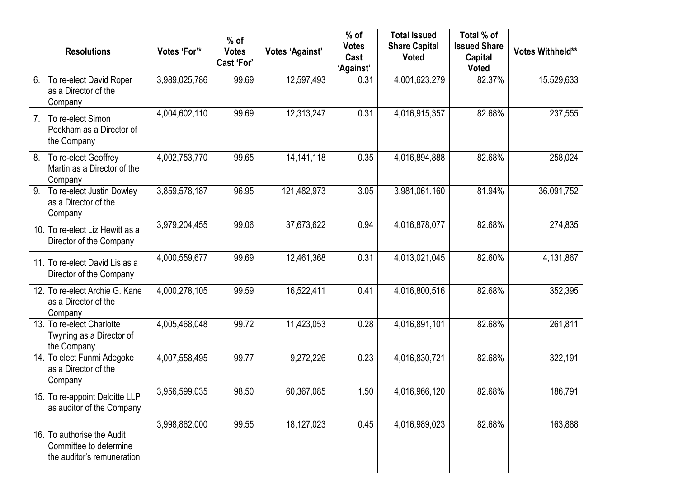|                  | <b>Resolutions</b>                                                                 | Votes 'For'*  | $%$ of<br><b>Votes</b><br>Cast 'For' | <b>Votes 'Against'</b> | $%$ of<br><b>Votes</b><br>Cast<br>'Against' | <b>Total Issued</b><br><b>Share Capital</b><br><b>Voted</b> | Total % of<br><b>Issued Share</b><br>Capital<br><b>Voted</b> | <b>Votes Withheld**</b> |
|------------------|------------------------------------------------------------------------------------|---------------|--------------------------------------|------------------------|---------------------------------------------|-------------------------------------------------------------|--------------------------------------------------------------|-------------------------|
| 6.               | To re-elect David Roper<br>as a Director of the<br>Company                         | 3,989,025,786 | 99.69                                | 12,597,493             | 0.31                                        | 4,001,623,279                                               | 82.37%                                                       | 15,529,633              |
| 7 <sub>1</sub>   | To re-elect Simon<br>Peckham as a Director of<br>the Company                       | 4,004,602,110 | 99.69                                | 12,313,247             | 0.31                                        | 4,016,915,357                                               | 82.68%                                                       | 237,555                 |
| 8.               | To re-elect Geoffrey<br>Martin as a Director of the<br>Company                     | 4,002,753,770 | 99.65                                | 14, 141, 118           | 0.35                                        | 4,016,894,888                                               | 82.68%                                                       | 258,024                 |
| $\overline{9}$ . | To re-elect Justin Dowley<br>as a Director of the<br>Company                       | 3,859,578,187 | 96.95                                | 121,482,973            | 3.05                                        | 3,981,061,160                                               | 81.94%                                                       | 36,091,752              |
|                  | 10. To re-elect Liz Hewitt as a<br>Director of the Company                         | 3,979,204,455 | 99.06                                | 37,673,622             | 0.94                                        | 4,016,878,077                                               | 82.68%                                                       | 274,835                 |
|                  | 11. To re-elect David Lis as a<br>Director of the Company                          | 4,000,559,677 | 99.69                                | 12,461,368             | 0.31                                        | 4,013,021,045                                               | 82.60%                                                       | 4,131,867               |
|                  | 12. To re-elect Archie G. Kane<br>as a Director of the<br>Company                  | 4,000,278,105 | 99.59                                | 16,522,411             | 0.41                                        | 4,016,800,516                                               | 82.68%                                                       | 352,395                 |
|                  | 13. To re-elect Charlotte<br>Twyning as a Director of<br>the Company               | 4,005,468,048 | 99.72                                | 11,423,053             | 0.28                                        | 4,016,891,101                                               | 82.68%                                                       | 261,811                 |
|                  | 14. To elect Funmi Adegoke<br>as a Director of the<br>Company                      | 4,007,558,495 | 99.77                                | 9,272,226              | 0.23                                        | 4,016,830,721                                               | 82.68%                                                       | 322,191                 |
|                  | 15. To re-appoint Deloitte LLP<br>as auditor of the Company                        | 3,956,599,035 | 98.50                                | 60,367,085             | 1.50                                        | 4,016,966,120                                               | 82.68%                                                       | 186,791                 |
|                  | 16. To authorise the Audit<br>Committee to determine<br>the auditor's remuneration | 3,998,862,000 | 99.55                                | 18,127,023             | 0.45                                        | 4,016,989,023                                               | 82.68%                                                       | 163,888                 |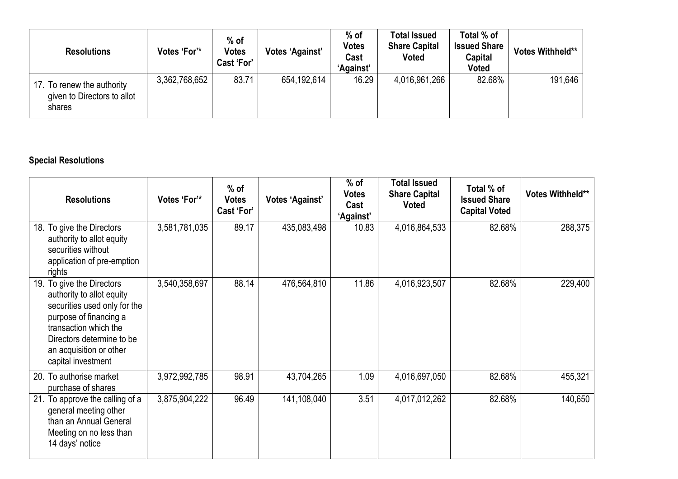| <b>Resolutions</b>                                                  | Votes 'For'*  | $%$ of<br><b>Votes</b><br>Cast 'For' | Votes 'Against' | $%$ of<br>Votes<br>Cast<br>'Against' | <b>Total Issued</b><br><b>Share Capital</b><br>Voted | Total % of<br><b>Issued Share</b><br>Capital<br><b>Voted</b> | <b>Votes Withheld**</b> |
|---------------------------------------------------------------------|---------------|--------------------------------------|-----------------|--------------------------------------|------------------------------------------------------|--------------------------------------------------------------|-------------------------|
| 17. To renew the authority<br>given to Directors to allot<br>shares | 3,362,768,652 | 83.71                                | 654,192,614     | 16.29                                | 4,016,961,266                                        | 82.68%                                                       | 191,646                 |

# **Special Resolutions**

| <b>Resolutions</b>                                                                                                                                                                                                      | Votes 'For'*  | $%$ of<br><b>Votes</b><br>Cast 'For' | <b>Votes 'Against'</b> | $%$ of<br><b>Votes</b><br>Cast<br><b>'Against'</b> | <b>Total Issued</b><br><b>Share Capital</b><br><b>Voted</b> | Total % of<br><b>Issued Share</b><br><b>Capital Voted</b> | Votes Withheld** |
|-------------------------------------------------------------------------------------------------------------------------------------------------------------------------------------------------------------------------|---------------|--------------------------------------|------------------------|----------------------------------------------------|-------------------------------------------------------------|-----------------------------------------------------------|------------------|
| 18. To give the Directors<br>authority to allot equity<br>securities without<br>application of pre-emption<br>rights                                                                                                    | 3,581,781,035 | 89.17                                | 435,083,498            | 10.83                                              | 4,016,864,533                                               | 82.68%                                                    | 288,375          |
| 19. To give the Directors<br>authority to allot equity<br>securities used only for the<br>purpose of financing a<br>transaction which the<br>Directors determine to be<br>an acquisition or other<br>capital investment | 3,540,358,697 | 88.14                                | 476,564,810            | 11.86                                              | 4,016,923,507                                               | 82.68%                                                    | 229,400          |
| 20. To authorise market<br>purchase of shares                                                                                                                                                                           | 3,972,992,785 | 98.91                                | 43,704,265             | 1.09                                               | 4,016,697,050                                               | 82.68%                                                    | 455,321          |
| 21. To approve the calling of a<br>general meeting other<br>than an Annual General<br>Meeting on no less than<br>14 days' notice                                                                                        | 3,875,904,222 | 96.49                                | 141,108,040            | 3.51                                               | 4,017,012,262                                               | 82.68%                                                    | 140,650          |